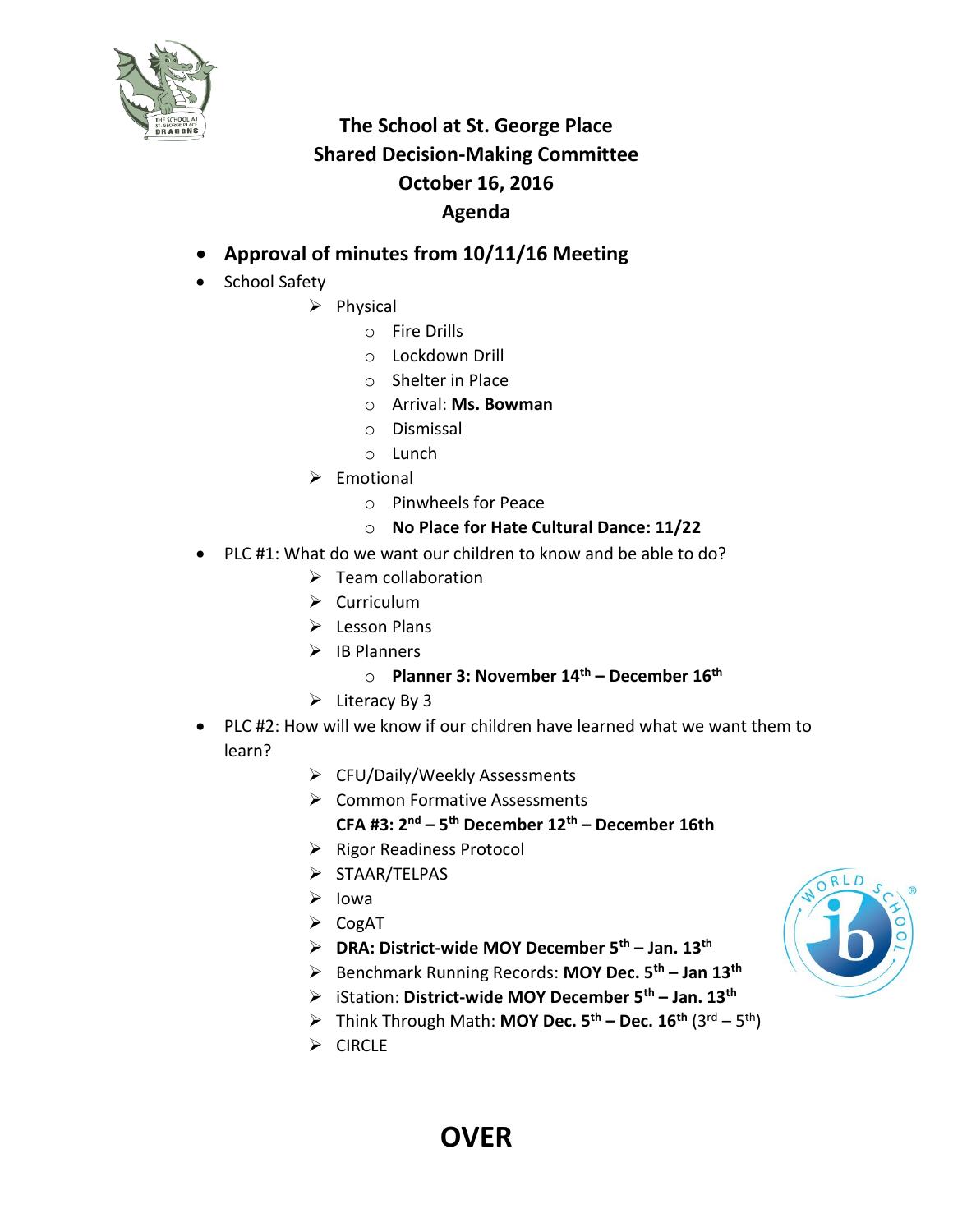

## **The School at St. George Place Shared Decision-Making Committee October 16, 2016 Agenda**

- **Approval of minutes from 10/11/16 Meeting**
- School Safety
	- $\triangleright$  Physical
		- o Fire Drills
		- o Lockdown Drill
		- o Shelter in Place
		- o Arrival: **Ms. Bowman**
		- o Dismissal
		- o Lunch
	- $\triangleright$  Emotional
		- o Pinwheels for Peace
		- o **No Place for Hate Cultural Dance: 11/22**
- PLC #1: What do we want our children to know and be able to do?
	- $\triangleright$  Team collaboration
	- $\triangleright$  Curriculum
	- $\triangleright$  Lesson Plans
	- $\triangleright$  IB Planners
		- o **Planner 3: November 14th – December 16th**
	- $\triangleright$  Literacy By 3
- PLC #2: How will we know if our children have learned what we want them to learn?
	- CFU/Daily/Weekly Assessments
	- **▶ Common Formative Assessments CFA #3: 2nd – 5 th December 12th – December 16th**
	- $\triangleright$  Rigor Readiness Protocol
	- $\triangleright$  STAAR/TELPAS
	- $\triangleright$  Iowa
	- $\triangleright$  CogAT
	- **DRA: District-wide MOY December 5th – Jan. 13th**
	- Benchmark Running Records: **MOY Dec. 5th – Jan 13th**
	- iStation: **District-wide MOY December 5th – Jan. 13th**
	- Think Through Math: **MOY Dec. 5th – Dec. 16th** (3rd 5 th)
	- $\triangleright$  CIRCLE



## **OVER**